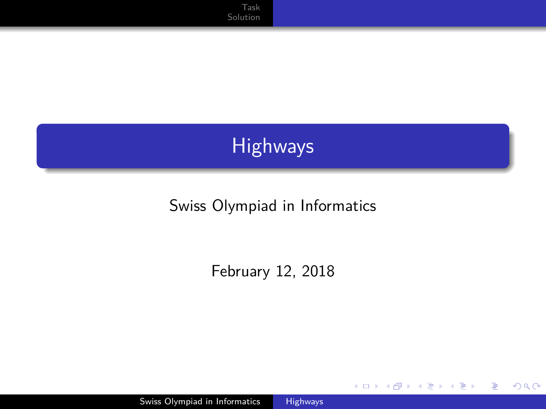**[Solution](#page-2-0)** 

# Highways

#### Swiss Olympiad in Informatics

February 12, 2018

E

э -b

4 ロ ▶ ( 伊

<span id="page-0-0"></span> $299$ 

Swiss Olympiad in Informatics [Highways](#page-7-0)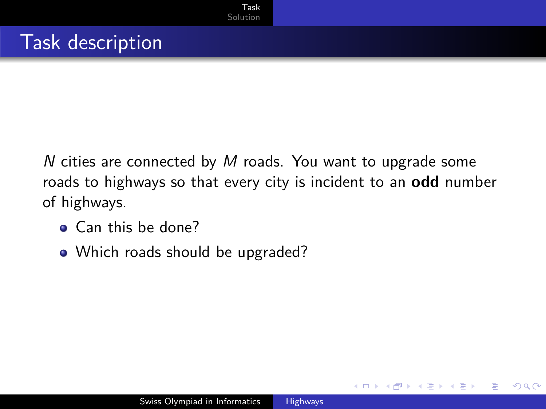N cities are connected by M roads. You want to upgrade some roads to highways so that every city is incident to an **odd** number of highways.

- **Q** Can this be done?
- Which roads should be upgraded?

<span id="page-1-0"></span>つくい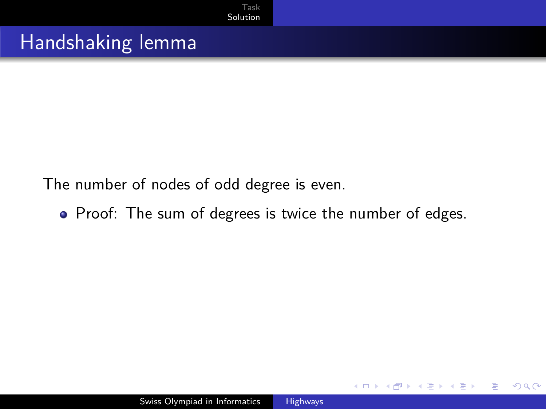## Handshaking lemma

The number of nodes of odd degree is even.

• Proof: The sum of degrees is twice the number of edges.

<span id="page-2-0"></span>つくへ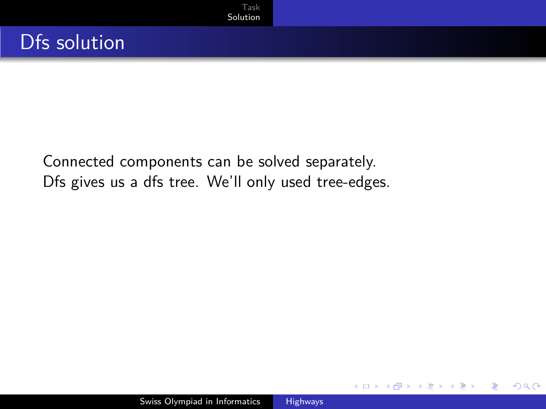[Task](#page-1-0) [Solution](#page-2-0)

Connected components can be solved separately. Dfs gives us a dfs tree. We'll only used tree-edges.

つくへ

∍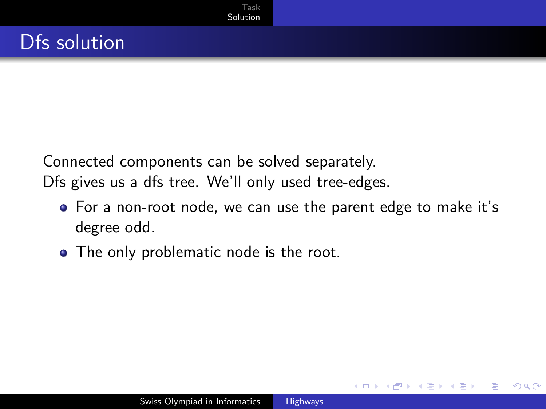Connected components can be solved separately. Dfs gives us a dfs tree. We'll only used tree-edges.

[Task](#page-1-0) [Solution](#page-2-0)

For a non-root node, we can use the parent edge to make it's degree odd.

つくい

• The only problematic node is the root.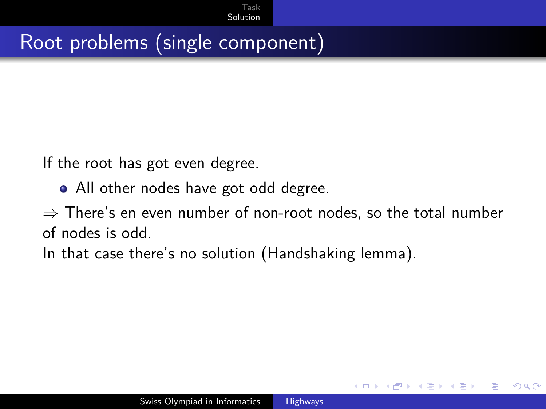## Root problems (single component)

If the root has got even degree.

• All other nodes have got odd degree.

 $\Rightarrow$  There's en even number of non-root nodes, so the total number of nodes is odd.

つくい

In that case there's no solution (Handshaking lemma).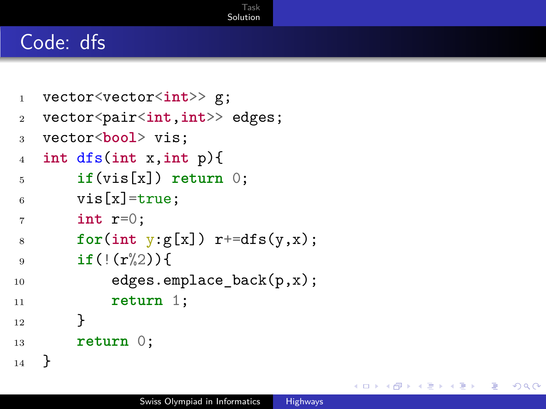#### Code: dfs

```
1 vector<vector<int>> g;
2 vector<pair<int,int>> edges;
3 vector<bool> vis;
4 int dfs(int x,int p){
5 if(vis[x]) return 0;
6 vis[x] = true;7 int r=0;
8 for(int y:g[x]) r+=dfs(y,x);9 if(!(r%2)){
10 edges.emplace_back(p,x);
11 return 1;
12 }
13 return 0;
14 }
```
つくへ

[Task](#page-1-0) [Solution](#page-2-0)